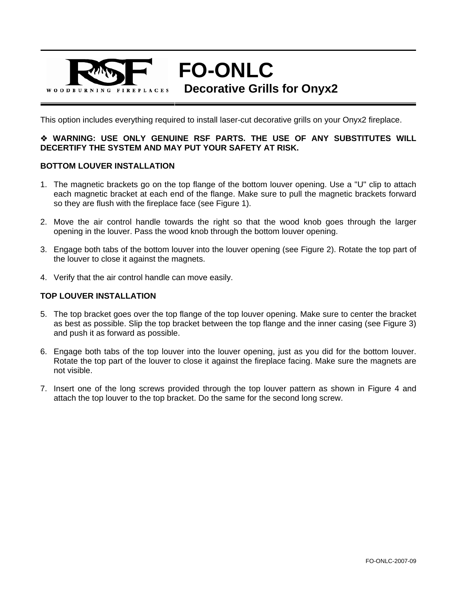

**FO-ONLC** 

**Decorative Grills for Onyx2** 

This option includes everything required to install laser-cut decorative grills on your Onyx2 fireplace.

## **WARNING: USE ONLY GENUINE RSF PARTS. THE USE OF ANY SUBSTITUTES WILL DECERTIFY THE SYSTEM AND MAY PUT YOUR SAFETY AT RISK.**

## **BOTTOM LOUVER INSTALLATION**

- 1. The magnetic brackets go on the top flange of the bottom louver opening. Use a "U" clip to attach each magnetic bracket at each end of the flange. Make sure to pull the magnetic brackets forward so they are flush with the fireplace face (see Figure 1).
- 2. Move the air control handle towards the right so that the wood knob goes through the larger opening in the louver. Pass the wood knob through the bottom louver opening.
- 3. Engage both tabs of the bottom louver into the louver opening (see Figure 2). Rotate the top part of the louver to close it against the magnets.
- 4. Verify that the air control handle can move easily.

## **TOP LOUVER INSTALLATION**

- 5. The top bracket goes over the top flange of the top louver opening. Make sure to center the bracket as best as possible. Slip the top bracket between the top flange and the inner casing (see Figure 3) and push it as forward as possible.
- 6. Engage both tabs of the top louver into the louver opening, just as you did for the bottom louver. Rotate the top part of the louver to close it against the fireplace facing. Make sure the magnets are not visible.
- 7. Insert one of the long screws provided through the top louver pattern as shown in Figure 4 and attach the top louver to the top bracket. Do the same for the second long screw.